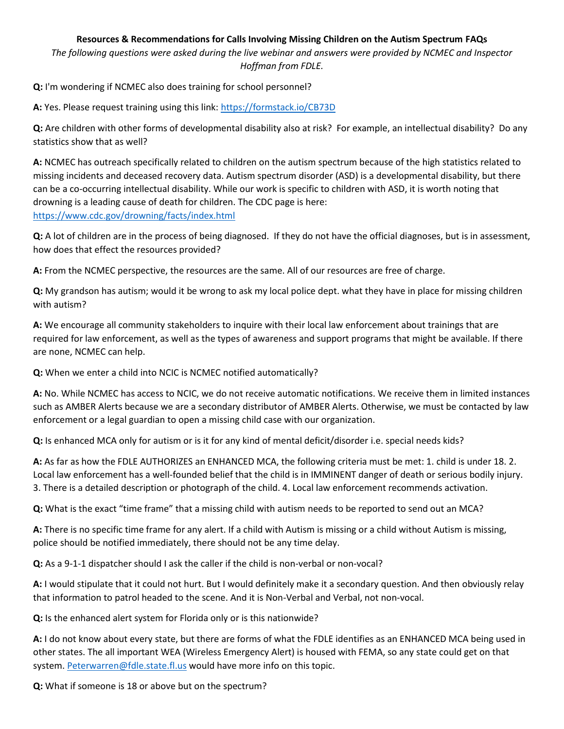## **Resources & Recommendations for Calls Involving Missing Children on the Autism Spectrum FAQs**

*The following questions were asked during the live webinar and answers were provided by NCMEC and Inspector Hoffman from FDLE.*

**Q:** I'm wondering if NCMEC also does training for school personnel?

A: Yes. Please request training using this link: https://formstack.io/CB73D

**Q:** Are children with other forms of developmental disability also at risk? For example, an intellectual disability? Do any statistics show that as well?

**A:** NCMEC has outreach specifically related to children on the autism spectrum because of the high statistics related to missing incidents and deceased recovery data. Autism spectrum disorder (ASD) is a developmental disability, but there can be a co-occurring intellectual disability. While our work is specific to children with ASD, it is worth noting that drowning is a leading cause of death for children. The CDC page is here: <https://www.cdc.gov/drowning/facts/index.html>

**Q:** A lot of children are in the process of being diagnosed. If they do not have the official diagnoses, but is in assessment, how does that effect the resources provided?

**A:** From the NCMEC perspective, the resources are the same. All of our resources are free of charge.

**Q:** My grandson has autism; would it be wrong to ask my local police dept. what they have in place for missing children with autism?

**A:** We encourage all community stakeholders to inquire with their local law enforcement about trainings that are required for law enforcement, as well as the types of awareness and support programs that might be available. If there are none, NCMEC can help.

**Q:** When we enter a child into NCIC is NCMEC notified automatically?

**A:** No. While NCMEC has access to NCIC, we do not receive automatic notifications. We receive them in limited instances such as AMBER Alerts because we are a secondary distributor of AMBER Alerts. Otherwise, we must be contacted by law enforcement or a legal guardian to open a missing child case with our organization.

**Q:** Is enhanced MCA only for autism or is it for any kind of mental deficit/disorder i.e. special needs kids?

**A:** As far as how the FDLE AUTHORIZES an ENHANCED MCA, the following criteria must be met: 1. child is under 18. 2. Local law enforcement has a well-founded belief that the child is in IMMINENT danger of death or serious bodily injury. 3. There is a detailed description or photograph of the child. 4. Local law enforcement recommends activation.

**Q:** What is the exact "time frame" that a missing child with autism needs to be reported to send out an MCA?

**A:** There is no specific time frame for any alert. If a child with Autism is missing or a child without Autism is missing, police should be notified immediately, there should not be any time delay.

**Q:** As a 9-1-1 dispatcher should I ask the caller if the child is non-verbal or non-vocal?

**A:** I would stipulate that it could not hurt. But I would definitely make it a secondary question. And then obviously relay that information to patrol headed to the scene. And it is Non-Verbal and Verbal, not non-vocal.

**Q:** Is the enhanced alert system for Florida only or is this nationwide?

**A:** I do not know about every state, but there are forms of what the FDLE identifies as an ENHANCED MCA being used in other states. The all important WEA (Wireless Emergency Alert) is housed with FEMA, so any state could get on that system. [Peterwarren@fdle.state.fl.us](mailto:Peterwarren@fdle.state.fl.us) would have more info on this topic.

**Q:** What if someone is 18 or above but on the spectrum?